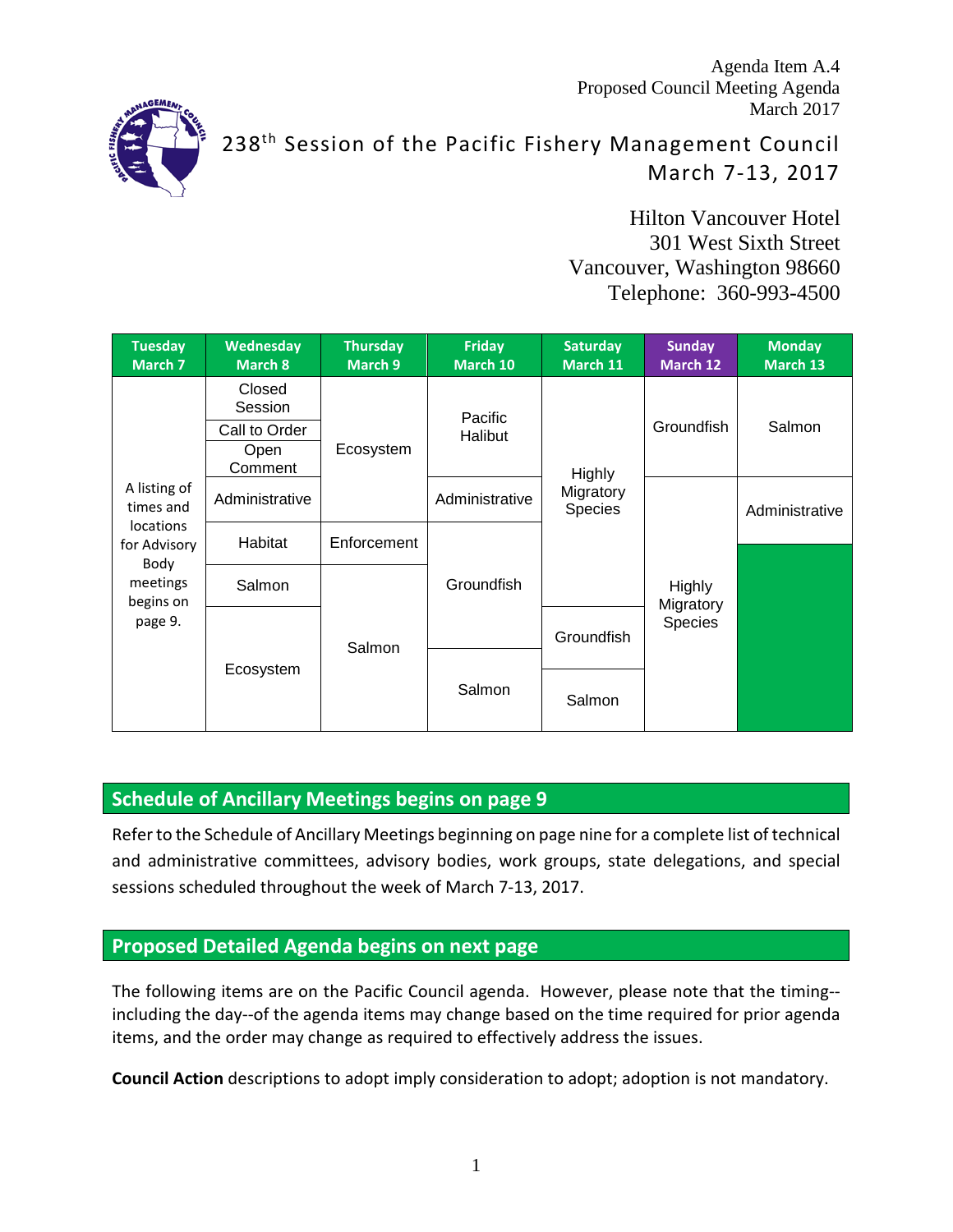Agenda Item A.4 Proposed Council Meeting Agenda March 2017



238<sup>th</sup> Session of the Pacific Fishery Management Council March 7-13, 2017

> Hilton Vancouver Hotel 301 West Sixth Street Vancouver, Washington 98660 Telephone: 360-993-4500

| <b>Tuesday</b><br>March 7                | <b>Wednesday</b><br>March 8 | <b>Thursday</b><br>March 9 | <b>Friday</b><br>March 10 | <b>Saturday</b><br>March 11    | <b>Sunday</b><br>March 12 | <b>Monday</b><br><b>March 13</b> |
|------------------------------------------|-----------------------------|----------------------------|---------------------------|--------------------------------|---------------------------|----------------------------------|
|                                          | Closed<br>Session           |                            | Pacific<br>Halibut        |                                | Groundfish                | Salmon                           |
|                                          | Call to Order               |                            |                           |                                |                           |                                  |
|                                          | Open<br>Comment             | Ecosystem                  |                           | Highly<br>Migratory<br>Species |                           |                                  |
| A listing of<br>times and                | Administrative              |                            | Administrative            |                                |                           | Administrative                   |
| locations<br>for Advisory                | Habitat                     | Enforcement                |                           |                                |                           |                                  |
| Body<br>meetings<br>begins on<br>page 9. | Salmon                      |                            | Groundfish                |                                | Highly<br>Migratory       |                                  |
|                                          |                             | Salmon                     |                           | Groundfish                     | Species                   |                                  |
|                                          | Ecosystem                   |                            |                           |                                |                           |                                  |
|                                          |                             | Salmon                     | Salmon                    |                                |                           |                                  |

# **Schedule of Ancillary Meetings begins on page 9**

Refer to the Schedule of Ancillary Meetings beginning on page nine for a complete list of technical and administrative committees, advisory bodies, work groups, state delegations, and special sessions scheduled throughout the week of March 7-13, 2017.

# **Proposed Detailed Agenda begins on next page**

The following items are on the Pacific Council agenda. However, please note that the timing- including the day--of the agenda items may change based on the time required for prior agenda items, and the order may change as required to effectively address the issues.

**Council Action** descriptions to adopt imply consideration to adopt; adoption is not mandatory.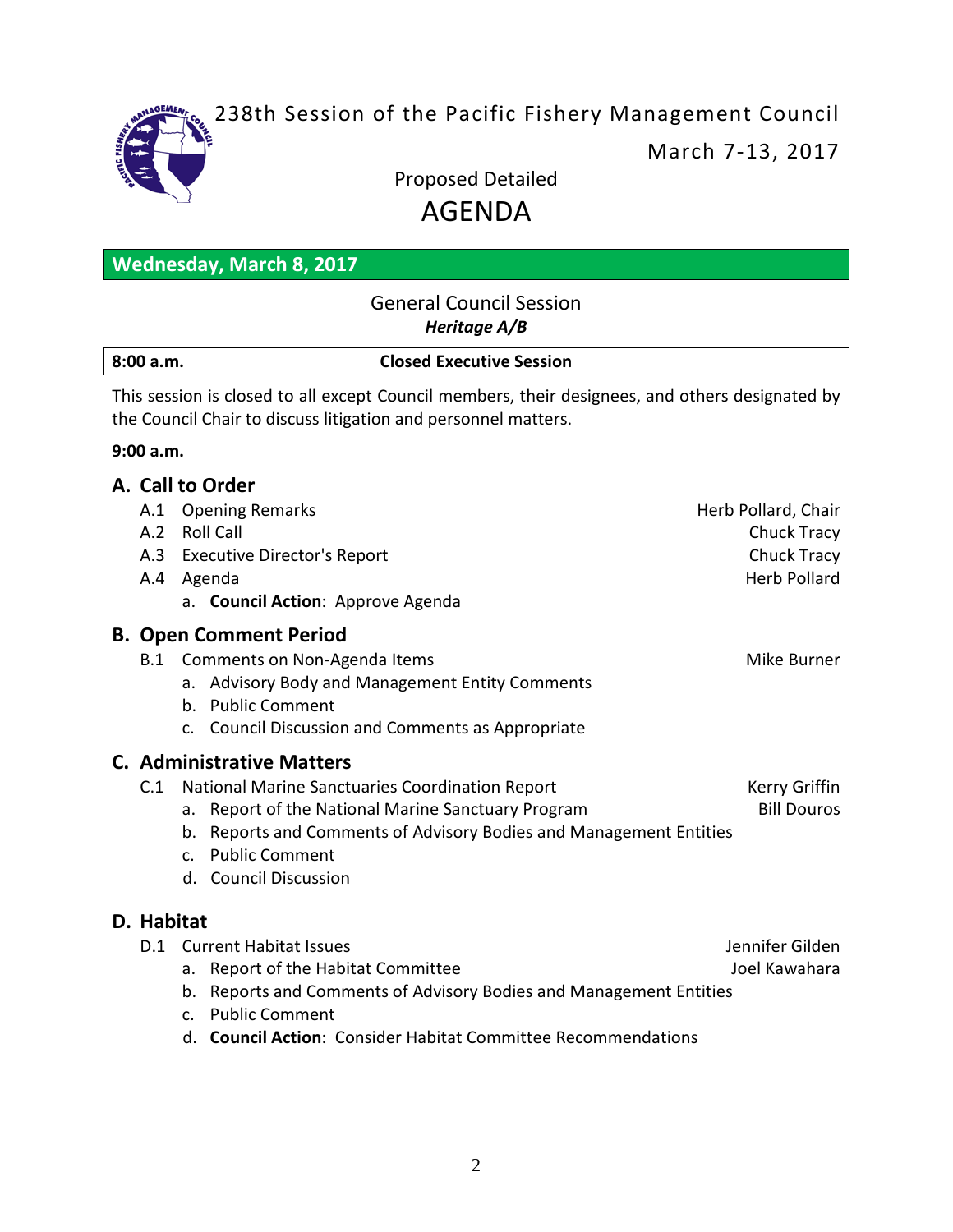

238th Session of the Pacific Fishery Management Council

March 7-13, 2017

Proposed Detailed

# AGENDA

| <b>Wednesday, March 8, 2017</b> |  |  |
|---------------------------------|--|--|
|                                 |  |  |

## General Council Session *Heritage A/B*

| 8:00 a.m. | <b>Closed Executive Session</b> |  |
|-----------|---------------------------------|--|

This session is closed to all except Council members, their designees, and others designated by the Council Chair to discuss litigation and personnel matters.

## **9:00 a.m.**

# **A. Call to Order** A.1 Opening Remarks **Herb Pollard**, Chair A.2 Roll Call Chuck Tracy A.3 Executive Director's Report Chuck Tracy A.4 Agenda Herb Pollard a. **Council Action**: Approve Agenda **B. Open Comment Period** B.1 Comments on Non-Agenda Items Mike Burner Mike Burner a. Advisory Body and Management Entity Comments b. Public Comment c. Council Discussion and Comments as Appropriate **C. Administrative Matters** C.1 National Marine Sanctuaries Coordination Report Kerry Griffin a. Report of the National Marine Sanctuary Program Bill Douros b. Reports and Comments of Advisory Bodies and Management Entities c. Public Comment d. Council Discussion **D. Habitat** D.1 Current Habitat Issues Jennifer Gilden a. Report of the Habitat Committee and the Joel Kawahara b. Reports and Comments of Advisory Bodies and Management Entities

- c. Public Comment
- d. **Council Action**: Consider Habitat Committee Recommendations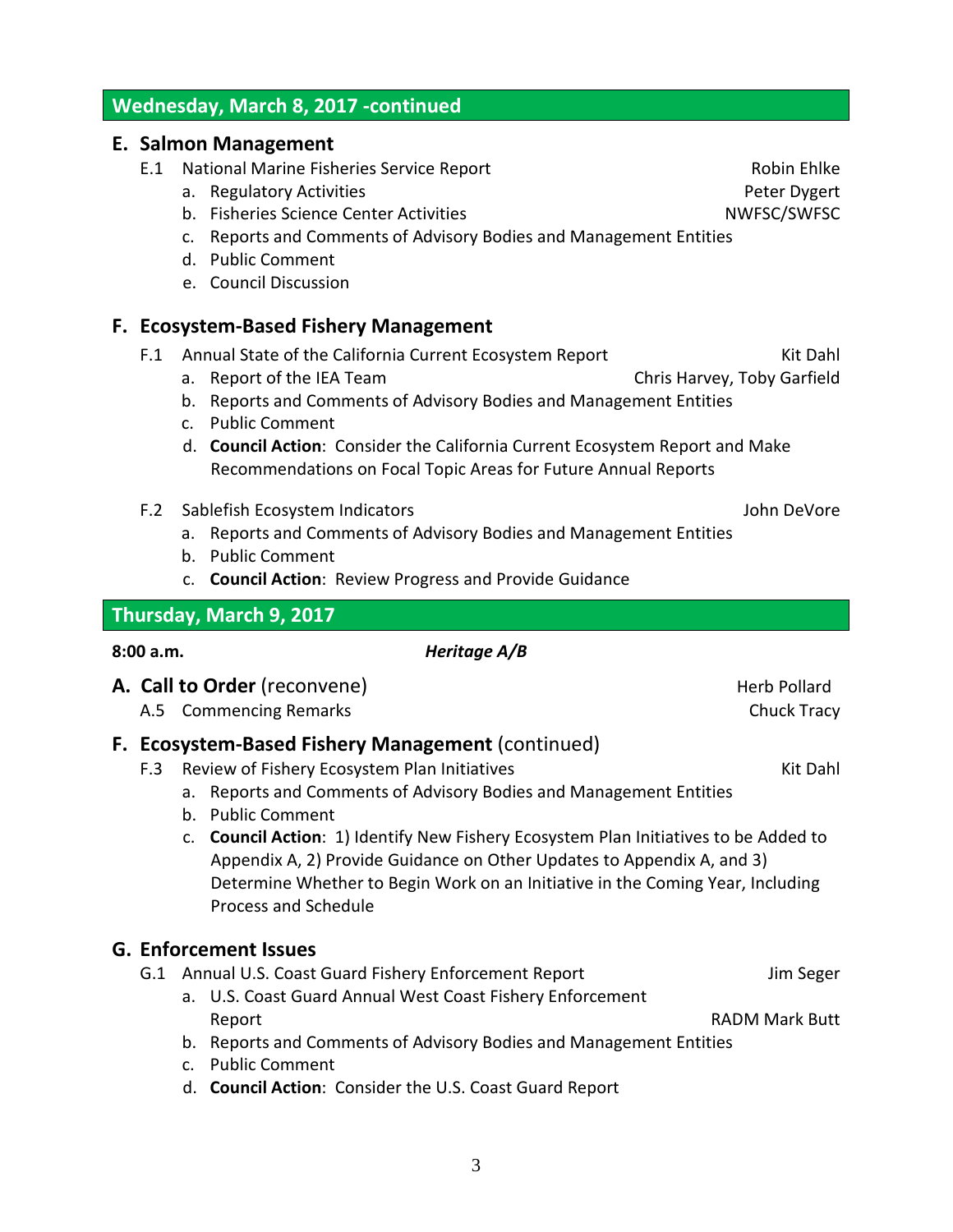# **Wednesday, March 8, 2017 -continued**

#### **E. Salmon Management**

- E.1 National Marine Fisheries Service Report New York Robin Ehlke
	- a. Regulatory Activities **Peter Dygert Peter Dygert**
	- b. Fisheries Science Center Activities Network Channel Activities NWFSC/SWFSC
	- c. Reports and Comments of Advisory Bodies and Management Entities
	- d. Public Comment
	- e. Council Discussion

# **F. Ecosystem-Based Fishery Management**

- F.1 Annual State of the California Current Ecosystem Report Kit Dahl
	- a. Report of the IEA Team Chris Harvey, Toby Garfield
		- b. Reports and Comments of Advisory Bodies and Management Entities
		- c. Public Comment
		- d. **Council Action**: Consider the California Current Ecosystem Report and Make Recommendations on Focal Topic Areas for Future Annual Reports
- F.2 Sablefish Ecosystem Indicators John DeVore
	- a. Reports and Comments of Advisory Bodies and Management Entities
	- b. Public Comment
	- c. **Council Action**: Review Progress and Provide Guidance

# **Thursday, March 9, 2017**

## **8:00 a.m.** *Heritage A/B*

- **A. Call to Order** (reconvene) **A. Call to Order** (reconvene)
	- A.5 Commencing Remarks **Chuck Tracy**

# **F. Ecosystem-Based Fishery Management** (continued)

- F.3 Review of Fishery Ecosystem Plan Initiatives Kit Dahl
	- a. Reports and Comments of Advisory Bodies and Management Entities
	- b. Public Comment
	- c. **Council Action**: 1) Identify New Fishery Ecosystem Plan Initiatives to be Added to Appendix A, 2) Provide Guidance on Other Updates to Appendix A, and 3) Determine Whether to Begin Work on an Initiative in the Coming Year, Including Process and Schedule

## **G. Enforcement Issues**

- G.1 Annual U.S. Coast Guard Fishery Enforcement Report Jim Seger
	- a. U.S. Coast Guard Annual West Coast Fishery Enforcement Report **RADM Mark Butt**
	- b. Reports and Comments of Advisory Bodies and Management Entities
	- c. Public Comment
	- d. **Council Action**: Consider the U.S. Coast Guard Report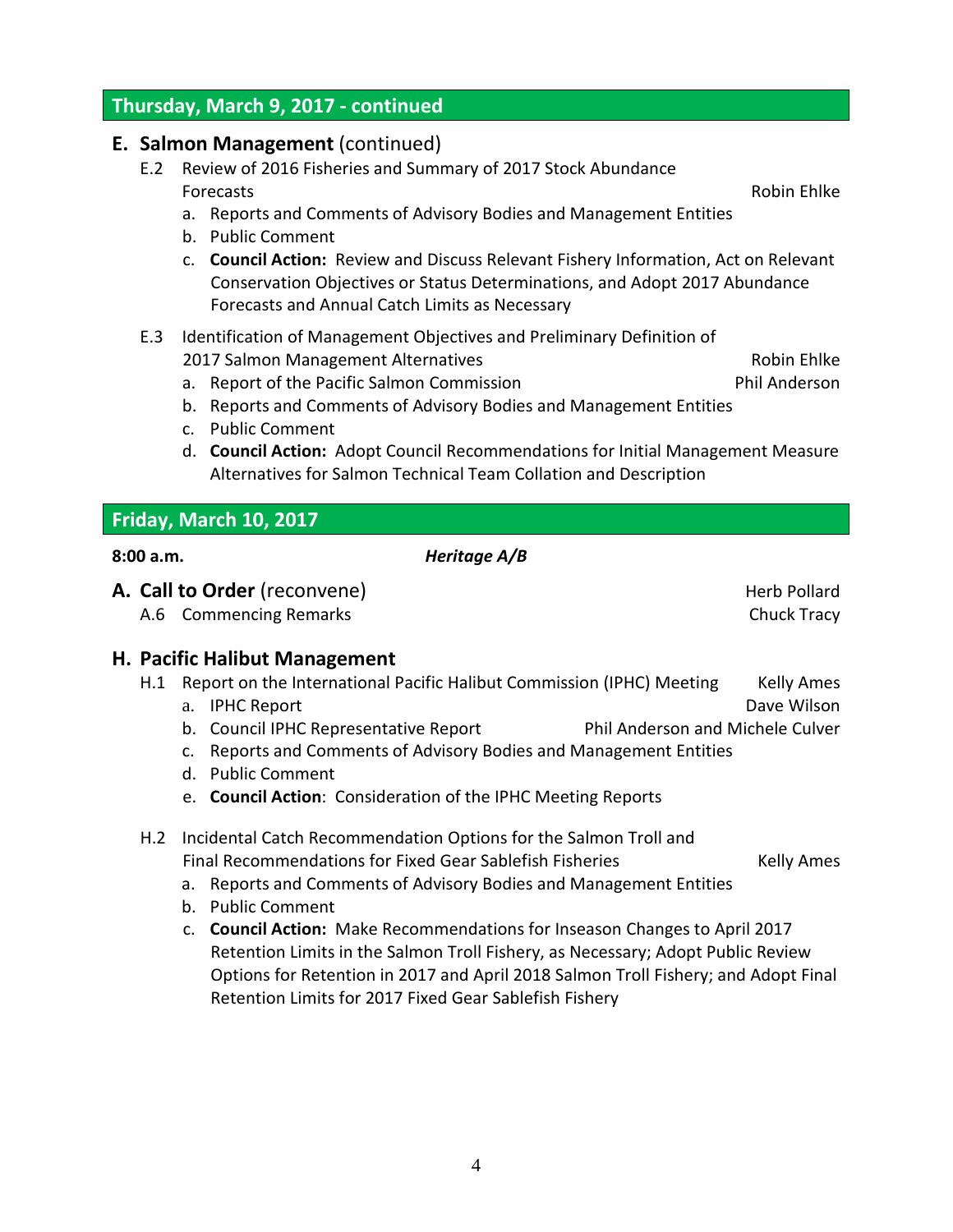# **Thursday, March 9, 2017 - continued**

#### **E. Salmon Management** (continued)

- E.2 Review of 2016 Fisheries and Summary of 2017 Stock Abundance Forecasts Robin Ehlke
	- a. Reports and Comments of Advisory Bodies and Management Entities
	- b. Public Comment
	- c. **Council Action:** Review and Discuss Relevant Fishery Information, Act on Relevant Conservation Objectives or Status Determinations, and Adopt 2017 Abundance Forecasts and Annual Catch Limits as Necessary
- E.3 Identification of Management Objectives and Preliminary Definition of 2017 Salmon Management Alternatives **Robin Engineerity** Robin Ehlke
	- a. Report of the Pacific Salmon Commission **Phil Anderson**
	- b. Reports and Comments of Advisory Bodies and Management Entities
	- c. Public Comment
	- d. **Council Action:** Adopt Council Recommendations for Initial Management Measure Alternatives for Salmon Technical Team Collation and Description

# **Friday, March 10, 2017**

- **A. Call to Order** (reconvene) **A. Call to Order** (reconvene)
	- A.6 Commencing Remarks **Chuck Tracy**

## **H. Pacific Halibut Management**

- H.1 Report on the International Pacific Halibut Commission (IPHC) Meeting Kelly Ames
	- a. IPHC Report **Dave Wilson** Bullet Contract Contract Contract Contract Contract Contract Contract Contract Contract Contract Contract Contract Contract Contract Contract Contract Contract Contract Contract Contract Contra
	- b. Council IPHC Representative Report Phil Anderson and Michele Culver
	- c. Reports and Comments of Advisory Bodies and Management Entities
	- d. Public Comment
	- e. **Council Action**: Consideration of the IPHC Meeting Reports
- H.2 Incidental Catch Recommendation Options for the Salmon Troll and Final Recommendations for Fixed Gear Sablefish Fisheries Kelly Ames

- a. Reports and Comments of Advisory Bodies and Management Entities
- b. Public Comment
- c. **Council Action:** Make Recommendations for Inseason Changes to April 2017 Retention Limits in the Salmon Troll Fishery, as Necessary; Adopt Public Review Options for Retention in 2017 and April 2018 Salmon Troll Fishery; and Adopt Final Retention Limits for 2017 Fixed Gear Sablefish Fishery

**8:00 a.m.** *Heritage A/B*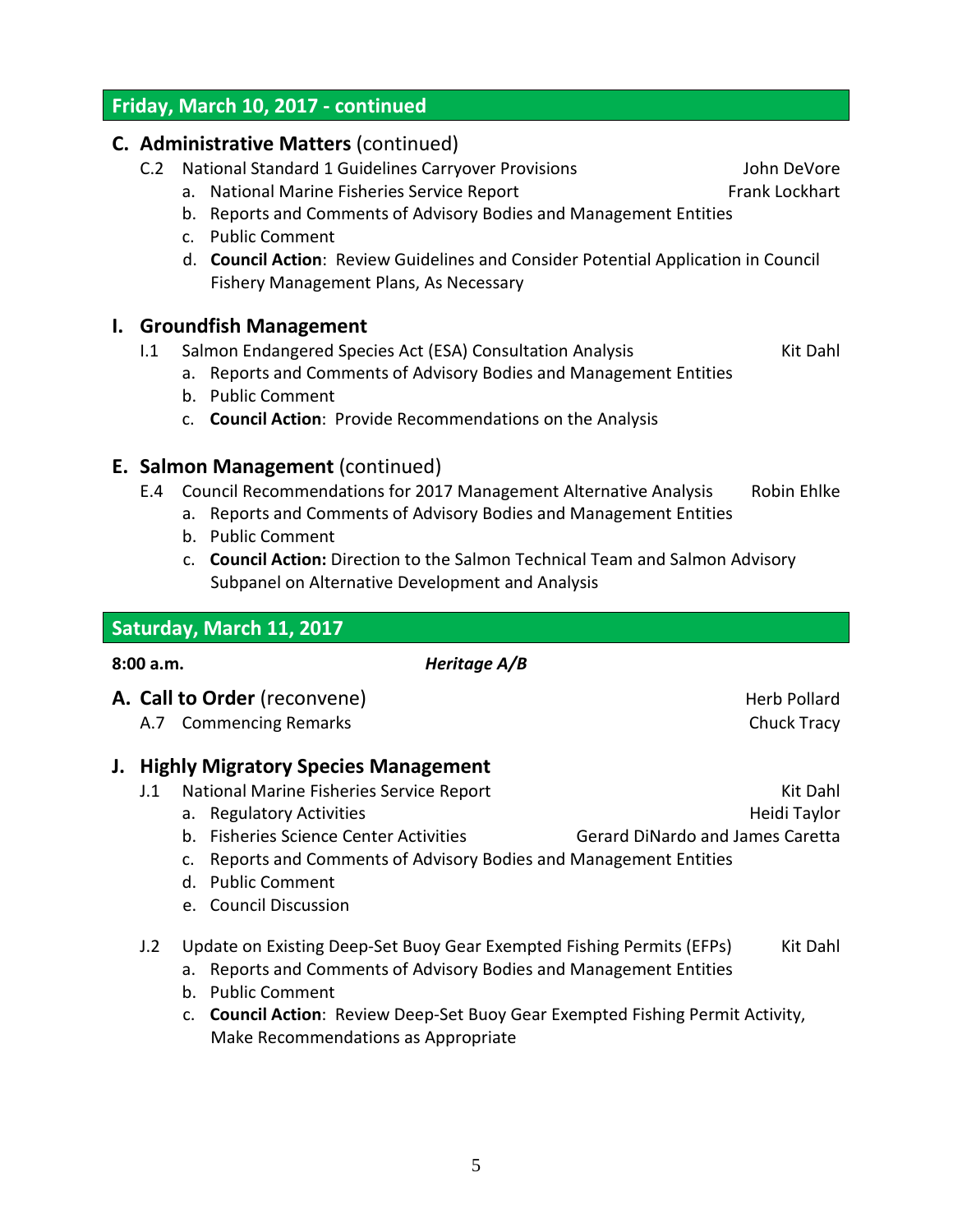# **Friday, March 10, 2017 - continued**

#### **C. Administrative Matters** (continued)

- C.2 National Standard 1 Guidelines Carryover Provisions The Muslim DeVore
	- a. National Marine Fisheries Service Report Frank Lockhart
	- b. Reports and Comments of Advisory Bodies and Management Entities
	- c. Public Comment
	- d. **Council Action**: Review Guidelines and Consider Potential Application in Council Fishery Management Plans, As Necessary

#### **I. Groundfish Management**

- I.1 Salmon Endangered Species Act (ESA) Consultation Analysis Kit Dahl
	- a. Reports and Comments of Advisory Bodies and Management Entities
	- b. Public Comment
	- c. **Council Action**: Provide Recommendations on the Analysis

## **E. Salmon Management** (continued)

- E.4 Council Recommendations for 2017 Management Alternative Analysis Robin Ehlke
	- a. Reports and Comments of Advisory Bodies and Management Entities
	- b. Public Comment
	- c. **Council Action:** Direction to the Salmon Technical Team and Salmon Advisory Subpanel on Alternative Development and Analysis

|           | Saturday, March 11, 2017                                                                                                                                                                                                                                                                           |                                                                     |
|-----------|----------------------------------------------------------------------------------------------------------------------------------------------------------------------------------------------------------------------------------------------------------------------------------------------------|---------------------------------------------------------------------|
| 8:00 a.m. | Heritage A/B                                                                                                                                                                                                                                                                                       |                                                                     |
|           | A. Call to Order (reconvene)<br>A.7 Commencing Remarks                                                                                                                                                                                                                                             | Herb Pollard<br>Chuck Tracy                                         |
| J.<br>J.1 | <b>Highly Migratory Species Management</b><br>National Marine Fisheries Service Report<br>a. Regulatory Activities<br><b>Fisheries Science Center Activities</b><br>$b_{-}$<br>Reports and Comments of Advisory Bodies and Management Entities<br>c.<br>d. Public Comment<br>e. Council Discussion | Kit Dahl<br>Heidi Taylor<br><b>Gerard DiNardo and James Caretta</b> |
| J.2       | Update on Existing Deep-Set Buoy Gear Exempted Fishing Permits (EFPs)<br>Reports and Comments of Advisory Bodies and Management Entities<br>a.<br><b>Public Comment</b><br>b.                                                                                                                      | Kit Dahl                                                            |

c. **Council Action**: Review Deep-Set Buoy Gear Exempted Fishing Permit Activity, Make Recommendations as Appropriate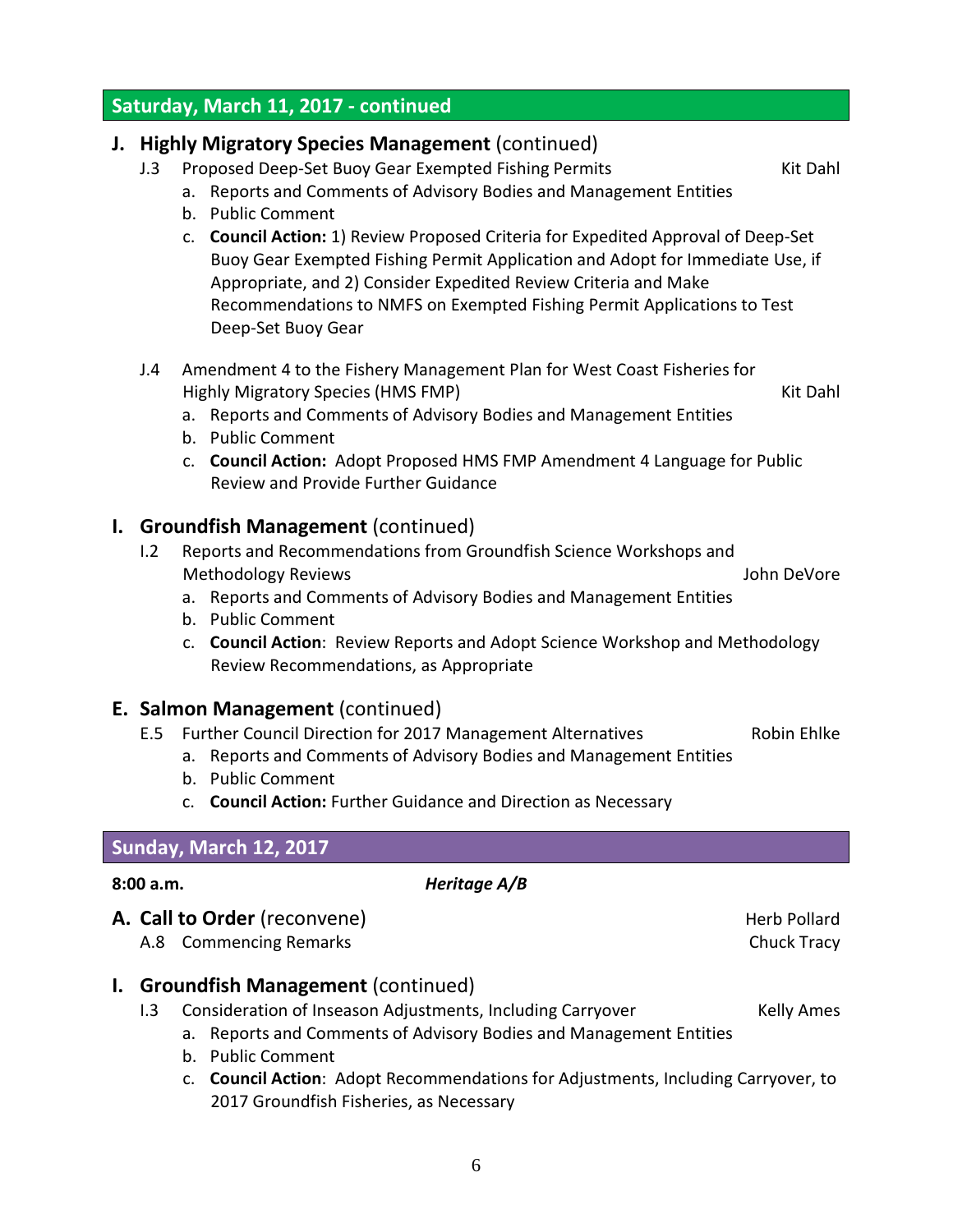# **Saturday, March 11, 2017 - continued**

# **J. Highly Migratory Species Management** (continued)

- J.3 Proposed Deep-Set Buoy Gear Exempted Fishing Permits Kit Dahl
	- a. Reports and Comments of Advisory Bodies and Management Entities
	- b. Public Comment
	- c. **Council Action:** 1) Review Proposed Criteria for Expedited Approval of Deep-Set Buoy Gear Exempted Fishing Permit Application and Adopt for Immediate Use, if Appropriate, and 2) Consider Expedited Review Criteria and Make Recommendations to NMFS on Exempted Fishing Permit Applications to Test Deep-Set Buoy Gear
- J.4 Amendment 4 to the Fishery Management Plan for West Coast Fisheries for Highly Migratory Species (HMS FMP) Noting the Communist Communist Communist Communist Communist Communist Communist Communist Communist Communist Communist Communist Communist Communist Communist Communist Communist Commun
	- a. Reports and Comments of Advisory Bodies and Management Entities
	- b. Public Comment
	- c. **Council Action:** Adopt Proposed HMS FMP Amendment 4 Language for Public Review and Provide Further Guidance

# **I. Groundfish Management** (continued)

- I.2 Reports and Recommendations from Groundfish Science Workshops and Methodology Reviews John DeVore
	- a. Reports and Comments of Advisory Bodies and Management Entities
	- b. Public Comment
	- c. **Council Action**: Review Reports and Adopt Science Workshop and Methodology Review Recommendations, as Appropriate

## **E. Salmon Management** (continued)

- E.5 Further Council Direction for 2017 Management Alternatives Robin Ehlke
	- a. Reports and Comments of Advisory Bodies and Management Entities
		- b. Public Comment
		- c. **Council Action:** Further Guidance and Direction as Necessary

## **Sunday, March 12, 2017**

#### **8:00 a.m.** *Heritage A/B*

# **A. Call to Order** (reconvene) **A. Call to Order** (reconvene)

- A.8 Commencing Remarks **Chuck Tracy** Chuck Tracy
- **I. Groundfish Management** (continued)
	- I.3 Consideration of Inseason Adjustments, Including Carryover Kelly Ames
		- a. Reports and Comments of Advisory Bodies and Management Entities
		- b. Public Comment
		- c. **Council Action**: Adopt Recommendations for Adjustments, Including Carryover, to 2017 Groundfish Fisheries, as Necessary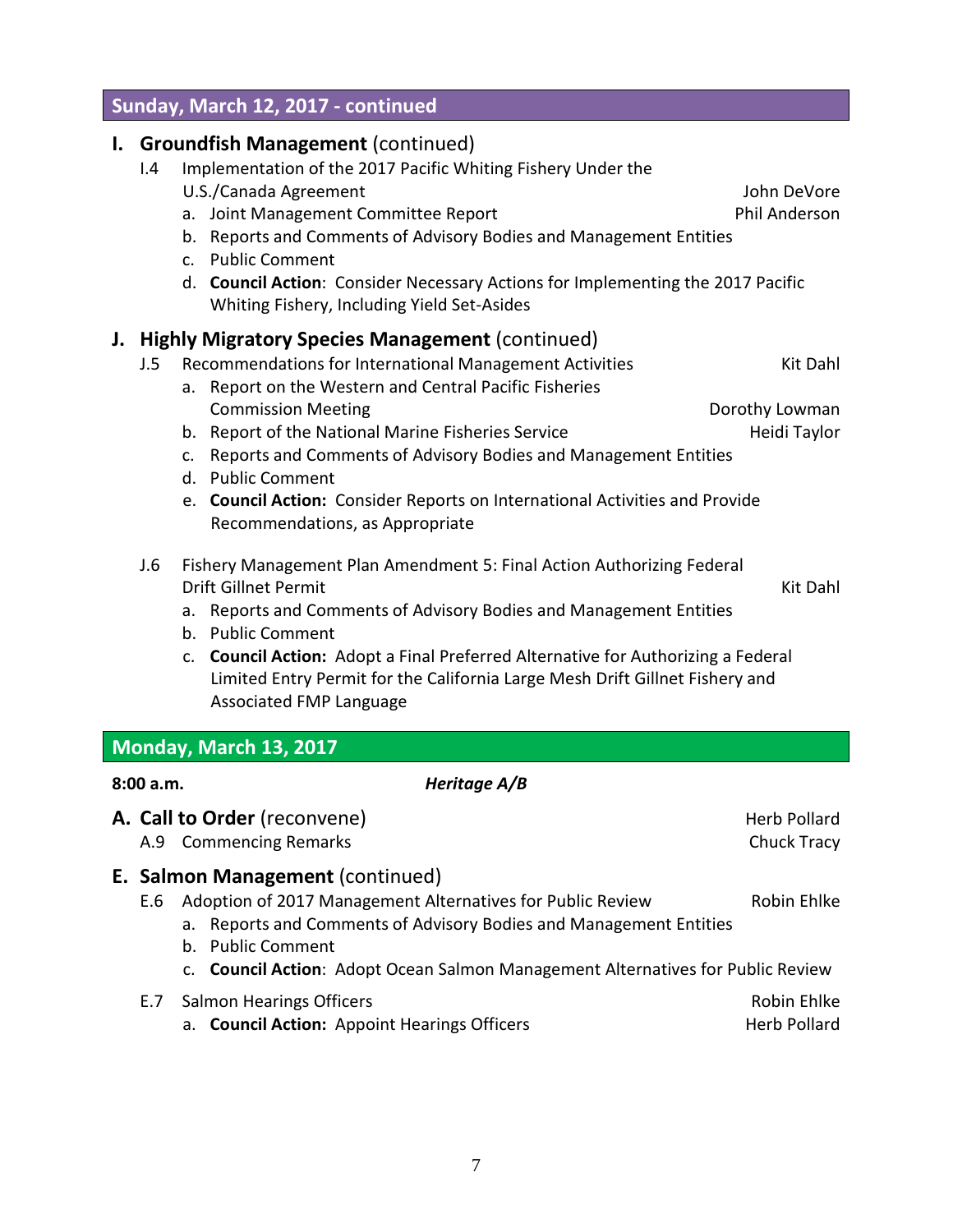- E.6 Adoption of 2017 Management Alternatives for Public Review Robin Ehlke a. Reports and Comments of Advisory Bodies and Management Entities
	- b. Public Comment

**E. Salmon Management** (continued)

c. **Council Action**: Adopt Ocean Salmon Management Alternatives for Public Review

| E.7 Salmon Hearings Officers                        | Robin Ehlke         |
|-----------------------------------------------------|---------------------|
| a. <b>Council Action:</b> Appoint Hearings Officers | <b>Herb Pollard</b> |

- d. Public Comment
- e. **Council Action:** Consider Reports on International Activities and Provide Recommendations, as Appropriate
- J.6 Fishery Management Plan Amendment 5: Final Action Authorizing Federal Drift Gillnet Permit Kit Dahl
	- a. Reports and Comments of Advisory Bodies and Management Entities
	- b. Public Comment

**8:00 a.m.** *Heritage A/B*

**Monday, March 13, 2017**

c. **Council Action:** Adopt a Final Preferred Alternative for Authorizing a Federal Limited Entry Permit for the California Large Mesh Drift Gillnet Fishery and Associated FMP Language

**A. Call to Order** (reconvene) **A. Call to Order** (reconvene) A.9 Commencing Remarks **Chuck Tracy** Chuck Tracy

# J.5 Recommendations for International Management Activities **Kit Dahl**

**J. Highly Migratory Species Management** (continued)

- a. Report on the Western and Central Pacific Fisheries
	- Commission Meeting **Commission Meeting Commission Meeting**
	-
	-
- b. Report of the National Marine Fisheries Service Theorem Heidi Taylor c. Reports and Comments of Advisory Bodies and Management Entities
	-
	-

# a. Joint Management Committee Report **Phil Anderson**

- b. Reports and Comments of Advisory Bodies and Management Entities
- c. Public Comment
- d. **Council Action**: Consider Necessary Actions for Implementing the 2017 Pacific Whiting Fishery, Including Yield Set-Asides

# **Sunday, March 12, 2017 - continued**

**I. Groundfish Management** (continued)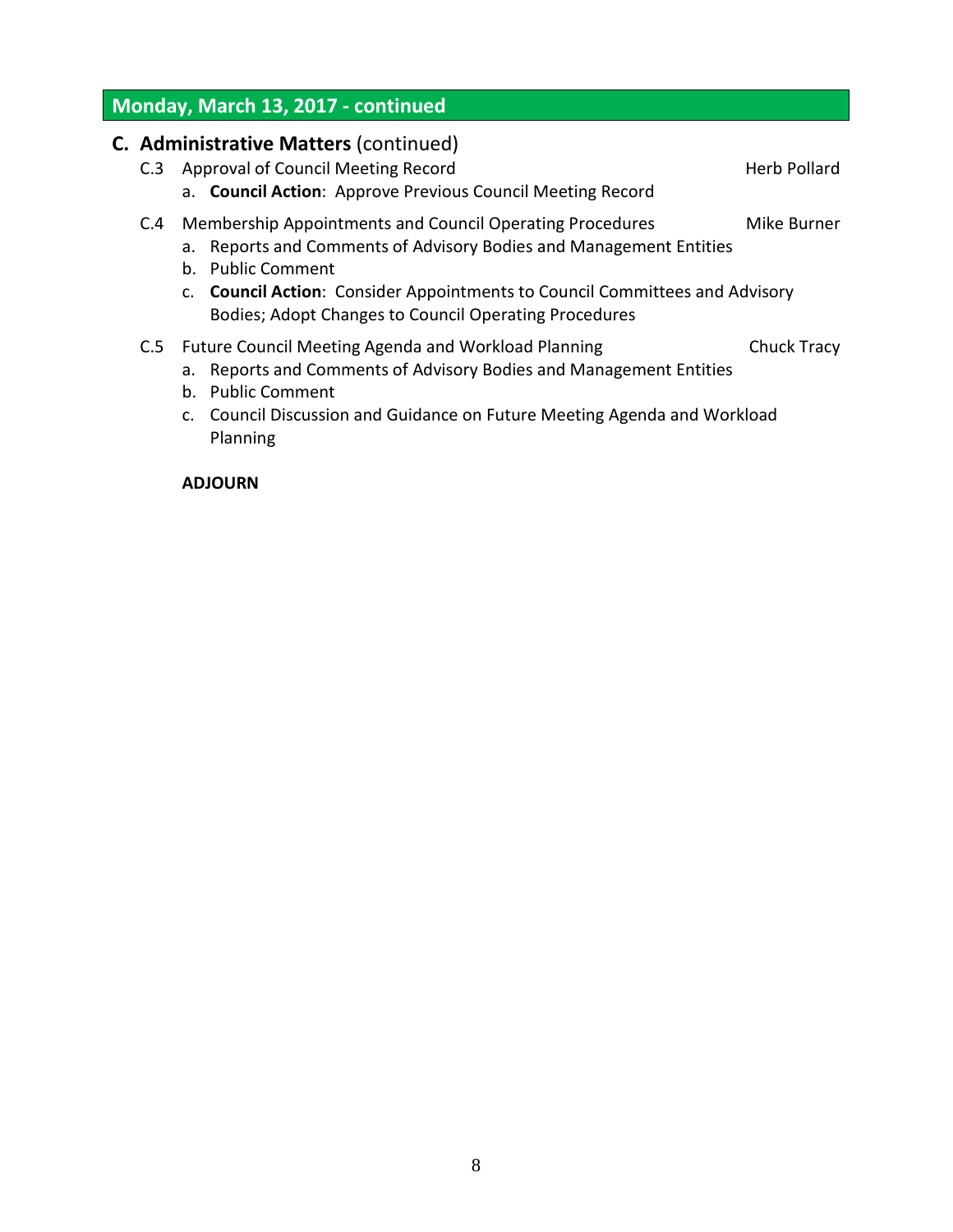# **Monday, March 13, 2017 - continued**

|     | <b>C. Administrative Matters (continued)</b>                                                                                                                                                                                                                                                |                    |
|-----|---------------------------------------------------------------------------------------------------------------------------------------------------------------------------------------------------------------------------------------------------------------------------------------------|--------------------|
| C.3 | Approval of Council Meeting Record<br>a. Council Action: Approve Previous Council Meeting Record                                                                                                                                                                                            | Herb Pollard       |
| C.4 | Membership Appointments and Council Operating Procedures<br>a. Reports and Comments of Advisory Bodies and Management Entities<br>b. Public Comment<br>c. Council Action: Consider Appointments to Council Committees and Advisory<br>Bodies; Adopt Changes to Council Operating Procedures | Mike Burner        |
|     | C.5 Future Council Meeting Agenda and Workload Planning<br>a. Reports and Comments of Advisory Bodies and Management Entities<br>b. Public Comment<br>c. Council Discussion and Guidance on Future Meeting Agenda and Workload<br>Planning                                                  | <b>Chuck Tracy</b> |

# **ADJOURN**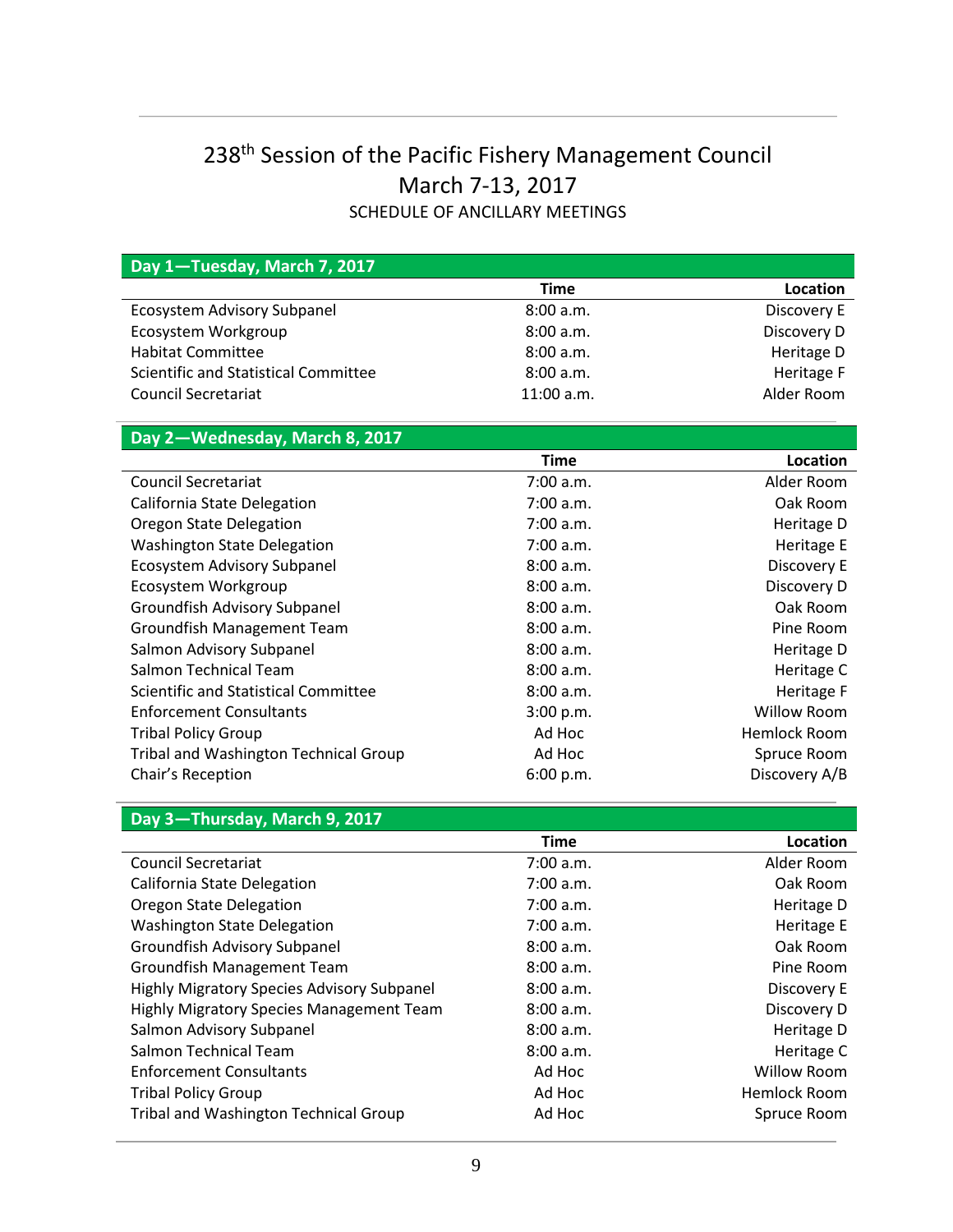# 238th Session of the Pacific Fishery Management Council March 7-13, 2017 SCHEDULE OF ANCILLARY MEETINGS

| Day 1-Tuesday, March 7, 2017                    |             |                     |
|-------------------------------------------------|-------------|---------------------|
|                                                 | <b>Time</b> | Location            |
| <b>Ecosystem Advisory Subpanel</b>              | 8:00 a.m.   | Discovery E         |
| Ecosystem Workgroup                             | 8:00 a.m.   | Discovery D         |
| <b>Habitat Committee</b>                        | 8:00 a.m.   | Heritage D          |
| Scientific and Statistical Committee            | 8:00 a.m.   | Heritage F          |
| <b>Council Secretariat</b>                      | 11:00 a.m.  | Alder Room          |
|                                                 |             |                     |
| Day 2-Wednesday, March 8, 2017                  |             |                     |
|                                                 | <b>Time</b> | Location            |
| <b>Council Secretariat</b>                      | 7:00 a.m.   | Alder Room          |
| California State Delegation                     | 7:00 a.m.   | Oak Room            |
| Oregon State Delegation                         | 7:00 a.m.   | Heritage D          |
| <b>Washington State Delegation</b>              | 7:00 a.m.   | Heritage E          |
| <b>Ecosystem Advisory Subpanel</b>              | 8:00 a.m.   | Discovery E         |
| Ecosystem Workgroup                             | 8:00 a.m.   | Discovery D         |
| Groundfish Advisory Subpanel                    | 8:00 a.m.   | Oak Room            |
| Groundfish Management Team                      | 8:00 a.m.   | Pine Room           |
| Salmon Advisory Subpanel                        | 8:00 a.m.   | Heritage D          |
| <b>Salmon Technical Team</b>                    | 8:00 a.m.   | Heritage C          |
| Scientific and Statistical Committee            | 8:00 a.m.   | Heritage F          |
| <b>Enforcement Consultants</b>                  | 3:00 p.m.   | <b>Willow Room</b>  |
| <b>Tribal Policy Group</b>                      | Ad Hoc      | <b>Hemlock Room</b> |
| <b>Tribal and Washington Technical Group</b>    | Ad Hoc      | Spruce Room         |
| Chair's Reception                               | 6:00 p.m.   | Discovery A/B       |
|                                                 |             |                     |
| Day 3-Thursday, March 9, 2017                   |             |                     |
|                                                 | <b>Time</b> | Location            |
| <b>Council Secretariat</b>                      | 7:00 a.m.   | Alder Room          |
| California State Delegation                     | 7:00 a.m.   | Oak Room            |
| <b>Oregon State Delegation</b>                  | 7:00 a.m.   | Heritage D          |
| <b>Washington State Delegation</b>              | 7:00 a.m.   | Heritage E          |
| Groundfish Advisory Subpanel                    | 8:00 a.m.   | Oak Room            |
| Groundfish Management Team                      | 8:00 a.m.   | Pine Room           |
| Highly Migratory Species Advisory Subpanel      | 8:00 a.m.   | Discovery E         |
| <b>Highly Migratory Species Management Team</b> | 8:00 a.m.   | Discovery D         |
| Salmon Advisory Subpanel                        | 8:00 a.m.   | Heritage D          |
| Salmon Technical Team                           | 8:00 a.m.   | Heritage C          |
| <b>Enforcement Consultants</b>                  | Ad Hoc      | <b>Willow Room</b>  |
| <b>Tribal Policy Group</b>                      | Ad Hoc      | <b>Hemlock Room</b> |
| Tribal and Washington Technical Group           | Ad Hoc      | Spruce Room         |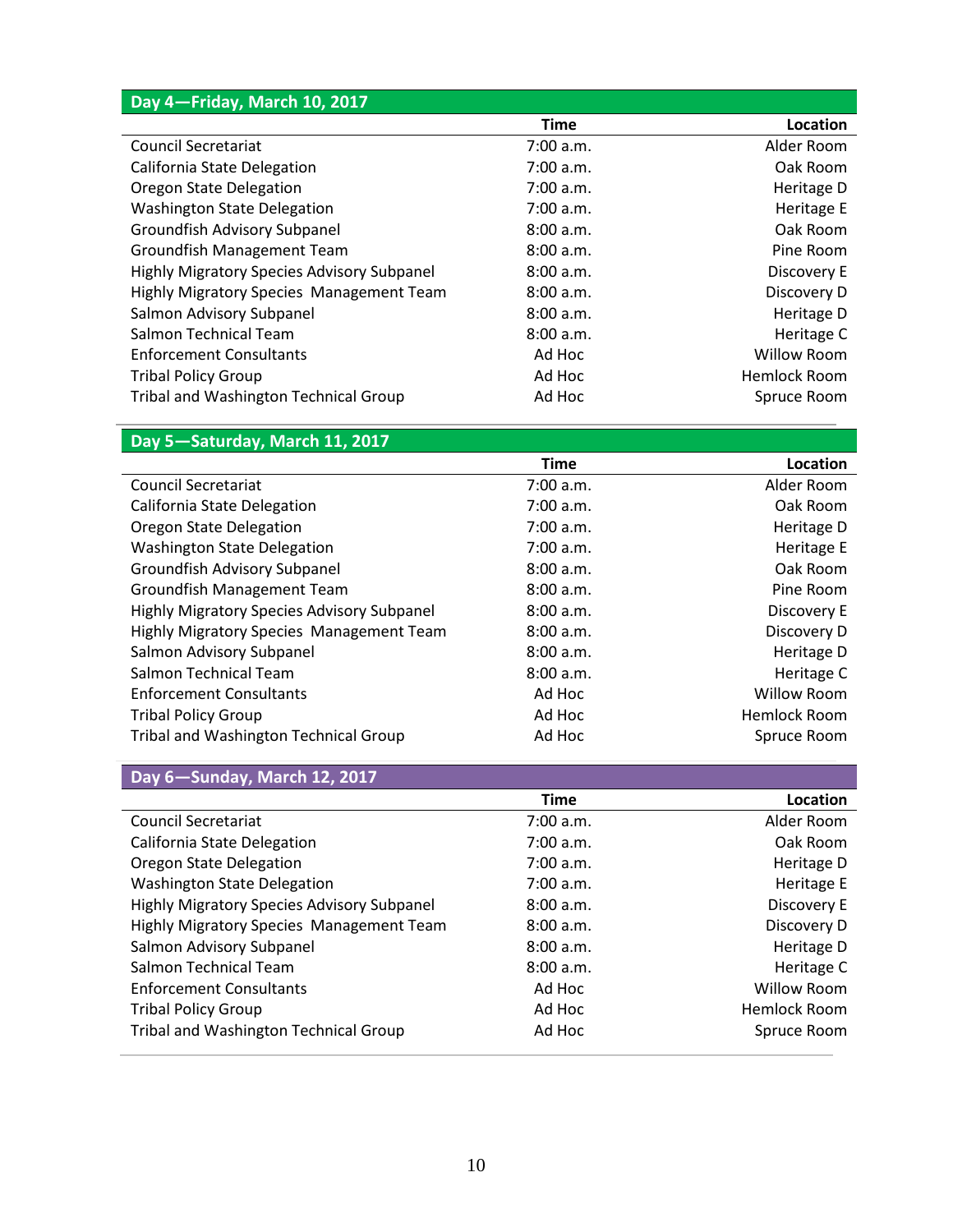| Day 4-Friday, March 10, 2017                      |             |                    |
|---------------------------------------------------|-------------|--------------------|
|                                                   | <b>Time</b> | Location           |
| <b>Council Secretariat</b>                        | 7:00 a.m.   | Alder Room         |
| California State Delegation                       | 7:00 a.m.   | Oak Room           |
| <b>Oregon State Delegation</b>                    | 7:00 a.m.   | Heritage D         |
| <b>Washington State Delegation</b>                | 7:00 a.m.   | Heritage E         |
| Groundfish Advisory Subpanel                      | 8:00 a.m.   | Oak Room           |
| <b>Groundfish Management Team</b>                 | 8:00 a.m.   | Pine Room          |
| <b>Highly Migratory Species Advisory Subpanel</b> | 8:00 a.m.   | Discovery E        |
| Highly Migratory Species Management Team          | 8:00 a.m.   | Discovery D        |
| Salmon Advisory Subpanel                          | 8:00 a.m.   | Heritage D         |
| Salmon Technical Team                             | 8:00 a.m.   | Heritage C         |
| <b>Enforcement Consultants</b>                    | Ad Hoc      | <b>Willow Room</b> |
| <b>Tribal Policy Group</b>                        | Ad Hoc      | Hemlock Room       |
| Tribal and Washington Technical Group             | Ad Hoc      | Spruce Room        |

# **Day 5—Saturday, March 11, 2017**

|                                                   | <b>Time</b> | Location           |
|---------------------------------------------------|-------------|--------------------|
| <b>Council Secretariat</b>                        | 7:00 a.m.   | Alder Room         |
| California State Delegation                       | 7:00 a.m.   | Oak Room           |
| Oregon State Delegation                           | 7:00 a.m.   | Heritage D         |
| <b>Washington State Delegation</b>                | 7:00 a.m.   | Heritage E         |
| Groundfish Advisory Subpanel                      | 8:00 a.m.   | Oak Room           |
| <b>Groundfish Management Team</b>                 | 8:00 a.m.   | Pine Room          |
| <b>Highly Migratory Species Advisory Subpanel</b> | 8:00 a.m.   | Discovery E        |
| Highly Migratory Species Management Team          | 8:00 a.m.   | Discovery D        |
| Salmon Advisory Subpanel                          | 8:00 a.m.   | Heritage D         |
| Salmon Technical Team                             | 8:00a.m.    | Heritage C         |
| <b>Enforcement Consultants</b>                    | Ad Hoc      | <b>Willow Room</b> |
| <b>Tribal Policy Group</b>                        | Ad Hoc      | Hemlock Room       |
| Tribal and Washington Technical Group             | Ad Hoc      | Spruce Room        |

# **Day 6—Sunday, March 12, 2017**

|                                            | <b>Time</b> | Location            |
|--------------------------------------------|-------------|---------------------|
| <b>Council Secretariat</b>                 | 7:00 a.m.   | Alder Room          |
| California State Delegation                | 7:00 a.m.   | Oak Room            |
| Oregon State Delegation                    | 7:00 a.m.   | Heritage D          |
| <b>Washington State Delegation</b>         | 7:00 a.m.   | Heritage E          |
| Highly Migratory Species Advisory Subpanel | 8:00 a.m.   | Discovery E         |
| Highly Migratory Species Management Team   | 8:00a.m.    | Discovery D         |
| Salmon Advisory Subpanel                   | 8:00a.m.    | Heritage D          |
| Salmon Technical Team                      | 8:00 a.m.   | Heritage C          |
| <b>Enforcement Consultants</b>             | Ad Hoc      | Willow Room         |
| <b>Tribal Policy Group</b>                 | Ad Hoc      | <b>Hemlock Room</b> |
| Tribal and Washington Technical Group      | Ad Hoc      | Spruce Room         |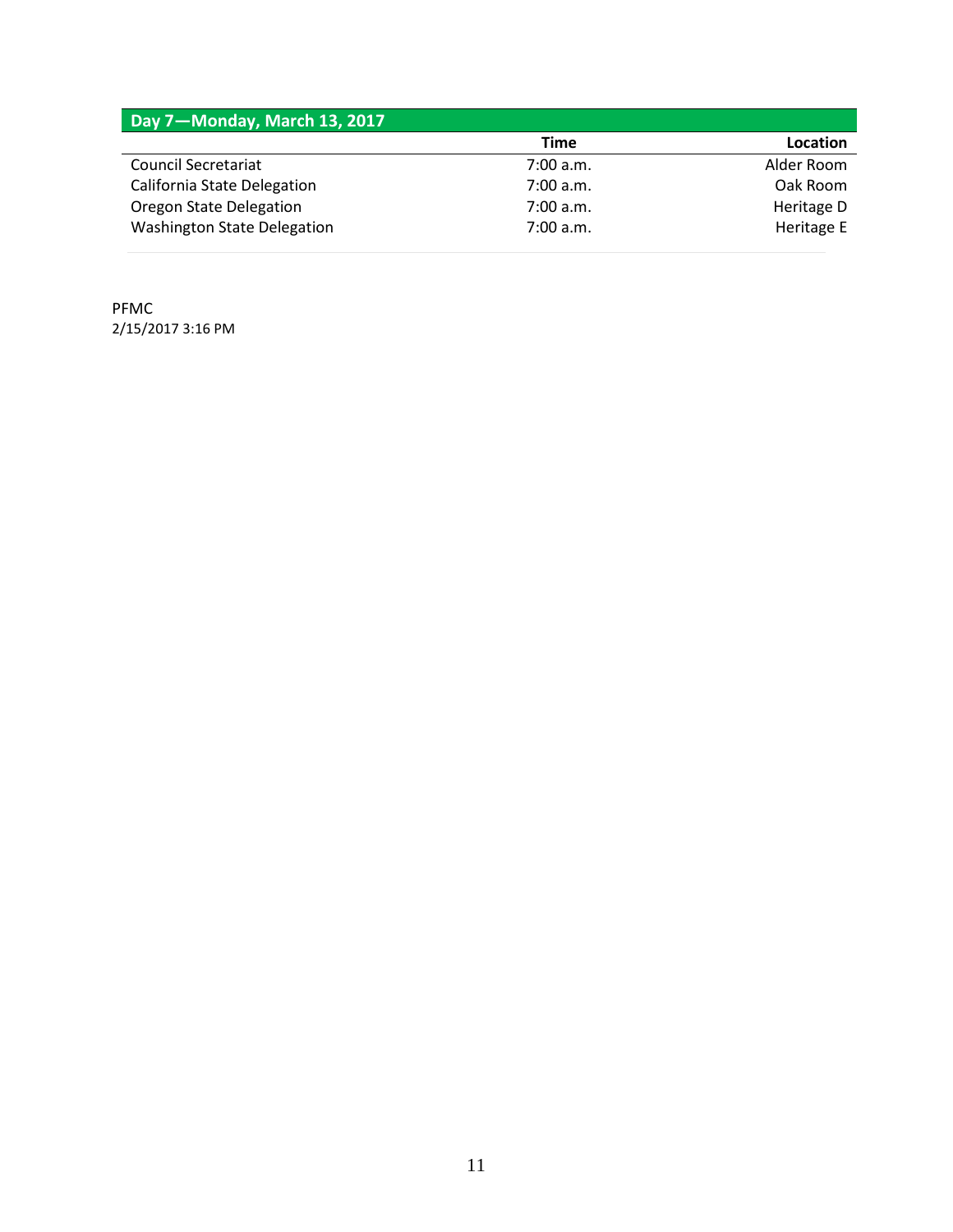| Day 7-Monday, March 13, 2017       |           |            |
|------------------------------------|-----------|------------|
|                                    | Time      | Location   |
| <b>Council Secretariat</b>         | 7:00 a.m. | Alder Room |
| California State Delegation        | 7:00 a.m. | Oak Room   |
| <b>Oregon State Delegation</b>     | 7:00 a.m. | Heritage D |
| <b>Washington State Delegation</b> | 7:00 a.m. | Heritage E |

PFMC 2/15/2017 3:16 PM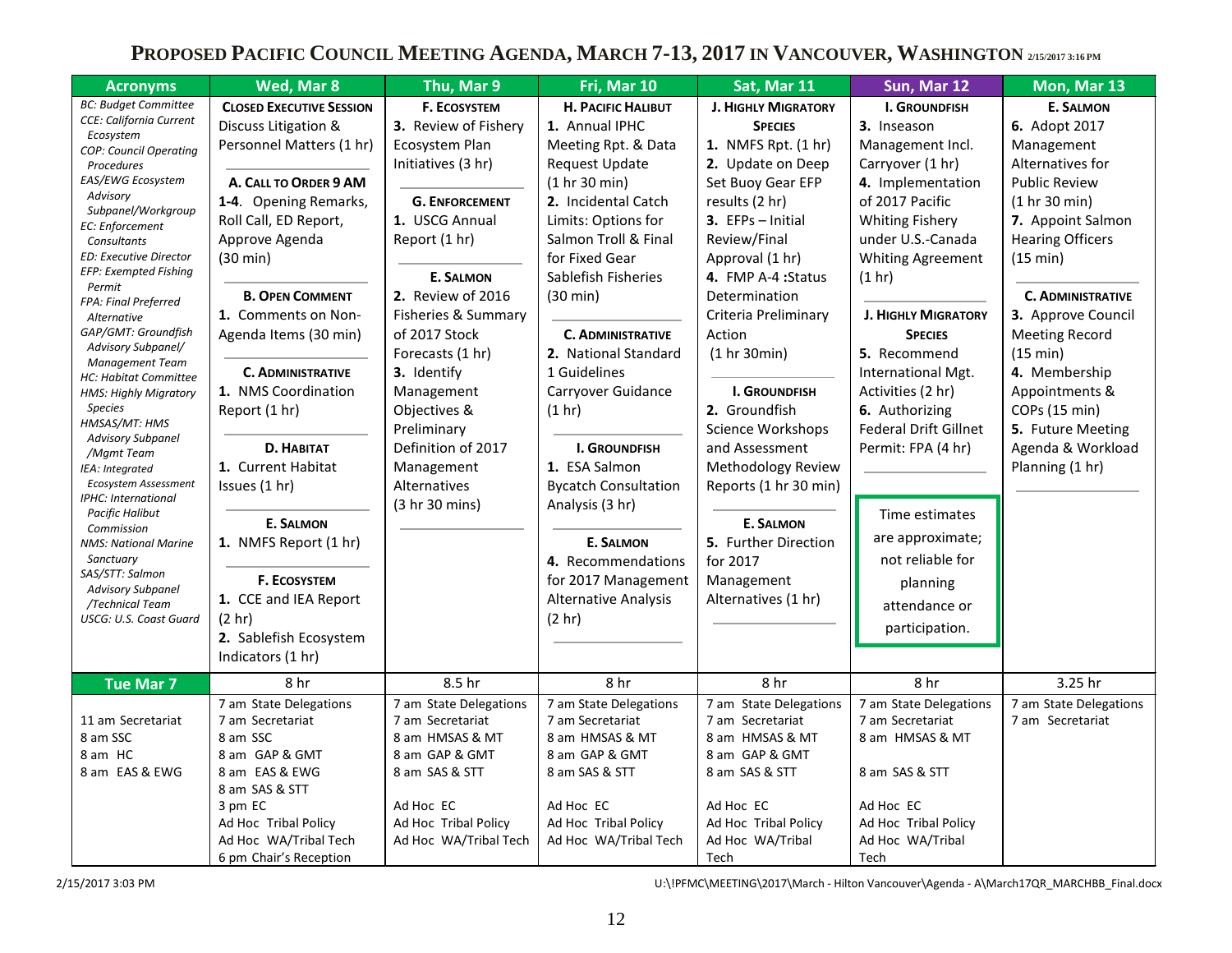# **PROPOSED PACIFIC COUNCIL MEETING AGENDA, MARCH 7-13, 2017 IN VANCOUVER, WASHINGTON 2/15/2017 3:16 PM**

| Wed, Mar 8                                                                                                                                                                                                                                                                                                                                                                                                                                                                                                                                                                         | Thu, Mar 9                                                                                                                                                                                                                                                                                                                                                                             | Fri, Mar 10                                                                                                                                                                                                                                                                                                                                                                                                                                                                                                                                      | Sat, Mar 11                                                                                                                                                                                                                                                                                                                                                                                                                                                                                                           | Sun, Mar 12                                                                                                                                                                                                                                                                                                                                                                                                                                                                                                      | Mon, Mar 13                                                                                                                                                                                                                                                                                                                                                                      |
|------------------------------------------------------------------------------------------------------------------------------------------------------------------------------------------------------------------------------------------------------------------------------------------------------------------------------------------------------------------------------------------------------------------------------------------------------------------------------------------------------------------------------------------------------------------------------------|----------------------------------------------------------------------------------------------------------------------------------------------------------------------------------------------------------------------------------------------------------------------------------------------------------------------------------------------------------------------------------------|--------------------------------------------------------------------------------------------------------------------------------------------------------------------------------------------------------------------------------------------------------------------------------------------------------------------------------------------------------------------------------------------------------------------------------------------------------------------------------------------------------------------------------------------------|-----------------------------------------------------------------------------------------------------------------------------------------------------------------------------------------------------------------------------------------------------------------------------------------------------------------------------------------------------------------------------------------------------------------------------------------------------------------------------------------------------------------------|------------------------------------------------------------------------------------------------------------------------------------------------------------------------------------------------------------------------------------------------------------------------------------------------------------------------------------------------------------------------------------------------------------------------------------------------------------------------------------------------------------------|----------------------------------------------------------------------------------------------------------------------------------------------------------------------------------------------------------------------------------------------------------------------------------------------------------------------------------------------------------------------------------|
| <b>CLOSED EXECUTIVE SESSION</b><br>Discuss Litigation &<br>Personnel Matters (1 hr)<br>A. CALL TO ORDER 9 AM<br>1-4. Opening Remarks,<br>Roll Call, ED Report,<br>Approve Agenda<br>$(30 \text{ min})$<br><b>B. OPEN COMMENT</b><br>1. Comments on Non-<br>Agenda Items (30 min)<br><b>C. ADMINISTRATIVE</b><br>1. NMS Coordination<br>Report (1 hr)<br><b>D. HABITAT</b><br>1. Current Habitat<br>Issues (1 hr)<br><b>E. SALMON</b><br>1. NMFS Report (1 hr)<br><b>F. ECOSYSTEM</b><br>1. CCE and IEA Report<br>(2 <sub>hr</sub> )<br>2. Sablefish Ecosystem<br>Indicators (1 hr) | <b>F. ECOSYSTEM</b><br>3. Review of Fishery<br>Ecosystem Plan<br>Initiatives (3 hr)<br><b>G. ENFORCEMENT</b><br>1. USCG Annual<br>Report (1 hr)<br><b>E. SALMON</b><br>2. Review of 2016<br>Fisheries & Summary<br>of 2017 Stock<br>Forecasts (1 hr)<br>3. Identify<br>Management<br>Objectives &<br>Preliminary<br>Definition of 2017<br>Management<br>Alternatives<br>(3 hr 30 mins) | <b>H. PACIFIC HALIBUT</b><br>1. Annual IPHC<br>Meeting Rpt. & Data<br><b>Request Update</b><br>(1 hr 30 min)<br>2. Incidental Catch<br>Limits: Options for<br>Salmon Troll & Final<br>for Fixed Gear<br>Sablefish Fisheries<br>(30 min)<br><b>C. ADMINISTRATIVE</b><br>2. National Standard<br>1 Guidelines<br>Carryover Guidance<br>(1 hr)<br><b>I. GROUNDFISH</b><br>1. ESA Salmon<br><b>Bycatch Consultation</b><br>Analysis (3 hr)<br><b>E. SALMON</b><br>4. Recommendations<br>for 2017 Management<br><b>Alternative Analysis</b><br>(2 hr) | <b>J. HIGHLY MIGRATORY</b><br><b>SPECIES</b><br>1. NMFS Rpt. (1 hr)<br>2. Update on Deep<br>Set Buoy Gear EFP<br>results (2 hr)<br>3. EFPs - Initial<br>Review/Final<br>Approval (1 hr)<br>4. FMP A-4 : Status<br>Determination<br>Criteria Preliminary<br>Action<br>(1 hr 30 min)<br><b>I. GROUNDFISH</b><br>2. Groundfish<br>Science Workshops<br>and Assessment<br><b>Methodology Review</b><br>Reports (1 hr 30 min)<br><b>E. SALMON</b><br>5. Further Direction<br>for 2017<br>Management<br>Alternatives (1 hr) | <b>I. GROUNDFISH</b><br>3. Inseason<br>Management Incl.<br>Carryover (1 hr)<br>4. Implementation<br>of 2017 Pacific<br><b>Whiting Fishery</b><br>under U.S.-Canada<br><b>Whiting Agreement</b><br>(1 <sub>hr</sub> )<br><b>J. HIGHLY MIGRATORY</b><br><b>SPECIES</b><br>5. Recommend<br>International Mgt.<br>Activities (2 hr)<br>6. Authorizing<br><b>Federal Drift Gillnet</b><br>Permit: FPA (4 hr)<br>Time estimates<br>are approximate;<br>not reliable for<br>planning<br>attendance or<br>participation. | <b>E. SALMON</b><br>6. Adopt 2017<br>Management<br>Alternatives for<br><b>Public Review</b><br>(1 hr 30 min)<br>7. Appoint Salmon<br><b>Hearing Officers</b><br>(15 min)<br><b>C. ADMINISTRATIVE</b><br>3. Approve Council<br><b>Meeting Record</b><br>(15 min)<br>4. Membership<br>Appointments &<br>COPs (15 min)<br>5. Future Meeting<br>Agenda & Workload<br>Planning (1 hr) |
| 8 hr                                                                                                                                                                                                                                                                                                                                                                                                                                                                                                                                                                               | 8.5 hr                                                                                                                                                                                                                                                                                                                                                                                 | 8 hr                                                                                                                                                                                                                                                                                                                                                                                                                                                                                                                                             | 8 hr                                                                                                                                                                                                                                                                                                                                                                                                                                                                                                                  | 8 hr                                                                                                                                                                                                                                                                                                                                                                                                                                                                                                             | 3.25 hr                                                                                                                                                                                                                                                                                                                                                                          |
| 7 am Secretariat<br>8 am SSC<br>8 am GAP & GMT<br>8 am EAS & EWG<br>8 am SAS & STT<br>3 pm EC<br>Ad Hoc Tribal Policy<br>Ad Hoc WA/Tribal Tech                                                                                                                                                                                                                                                                                                                                                                                                                                     | 7 am Secretariat<br>8 am HMSAS & MT<br>8 am GAP & GMT<br>8 am SAS & STT<br>Ad Hoc EC<br>Ad Hoc Tribal Policy<br>Ad Hoc WA/Tribal Tech                                                                                                                                                                                                                                                  | 7 am Secretariat<br>8 am HMSAS & MT<br>8 am GAP & GMT<br>8 am SAS & STT<br>Ad Hoc EC<br>Ad Hoc Tribal Policy<br>Ad Hoc WA/Tribal Tech                                                                                                                                                                                                                                                                                                                                                                                                            | 7 am Secretariat<br>8 am HMSAS & MT<br>8 am GAP & GMT<br>8 am SAS & STT<br>Ad Hoc EC<br>Ad Hoc Tribal Policy<br>Ad Hoc WA/Tribal                                                                                                                                                                                                                                                                                                                                                                                      | 7 am Secretariat<br>8 am HMSAS & MT<br>8 am SAS & STT<br>Ad Hoc EC<br>Ad Hoc Tribal Policy<br>Ad Hoc WA/Tribal                                                                                                                                                                                                                                                                                                                                                                                                   | 7 am State Delegations<br>7 am Secretariat                                                                                                                                                                                                                                                                                                                                       |
|                                                                                                                                                                                                                                                                                                                                                                                                                                                                                                                                                                                    | 7 am State Delegations<br>6 pm Chair's Reception                                                                                                                                                                                                                                                                                                                                       | 7 am State Delegations                                                                                                                                                                                                                                                                                                                                                                                                                                                                                                                           | 7 am State Delegations                                                                                                                                                                                                                                                                                                                                                                                                                                                                                                | 7 am State Delegations<br>Tech                                                                                                                                                                                                                                                                                                                                                                                                                                                                                   | 7 am State Delegations<br>Tech                                                                                                                                                                                                                                                                                                                                                   |

2/15/2017 3:03 PM U:\!PFMC\MEETING\2017\March - Hilton Vancouver\Agenda - A\March17QR\_MARCHBB\_Final.docx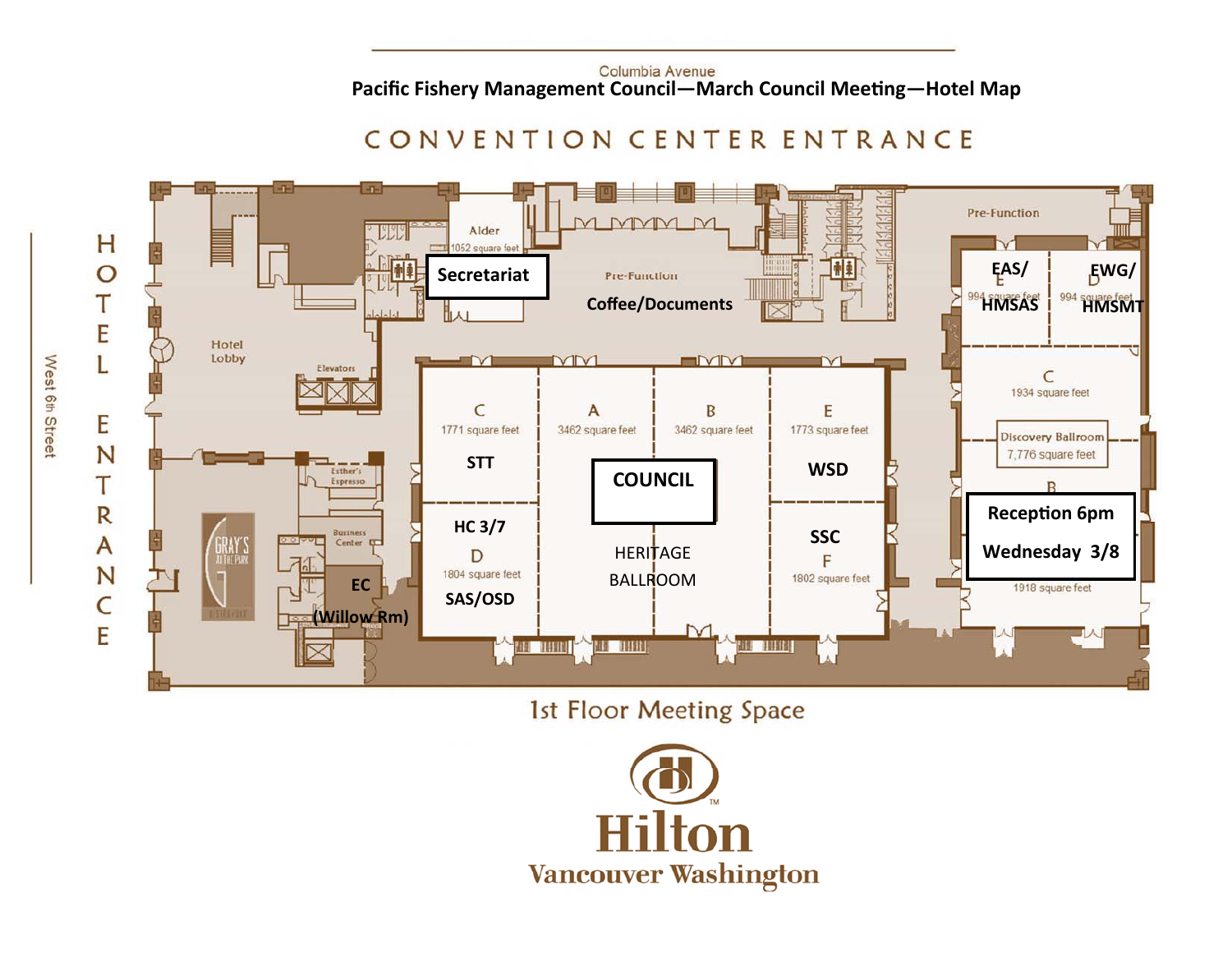#### Columbia Avenue **Pacific Fishery Management Council—March Council Meeting—Hotel Map**

# CONVENTION CENTER ENTRANCE



1st Floor Meeting Space



West 6th Street